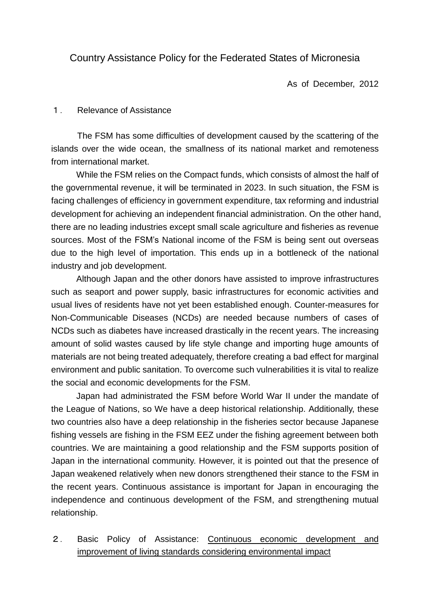# Country Assistance Policy for the Federated States of Micronesia

As of December, 2012

#### 1. Relevance of Assistance

The FSM has some difficulties of development caused by the scattering of the islands over the wide ocean, the smallness of its national market and remoteness from international market.

While the FSM relies on the Compact funds, which consists of almost the half of the governmental revenue, it will be terminated in 2023. In such situation, the FSM is facing challenges of efficiency in government expenditure, tax reforming and industrial development for achieving an independent financial administration. On the other hand, there are no leading industries except small scale agriculture and fisheries as revenue sources. Most of the FSM's National income of the FSM is being sent out overseas due to the high level of importation. This ends up in a bottleneck of the national industry and job development.

Although Japan and the other donors have assisted to improve infrastructures such as seaport and power supply, basic infrastructures for economic activities and usual lives of residents have not yet been established enough. Counter-measures for Non-Communicable Diseases (NCDs) are needed because numbers of cases of NCDs such as diabetes have increased drastically in the recent years. The increasing amount of solid wastes caused by life style change and importing huge amounts of materials are not being treated adequately, therefore creating a bad effect for marginal environment and public sanitation. To overcome such vulnerabilities it is vital to realize the social and economic developments for the FSM.

Japan had administrated the FSM before World War II under the mandate of the League of Nations, so We have a deep historical relationship. Additionally, these two countries also have a deep relationship in the fisheries sector because Japanese fishing vessels are fishing in the FSM EEZ under the fishing agreement between both countries. We are maintaining a good relationship and the FSM supports position of Japan in the international community. However, it is pointed out that the presence of Japan weakened relatively when new donors strengthened their stance to the FSM in the recent years. Continuous assistance is important for Japan in encouraging the independence and continuous development of the FSM, and strengthening mutual relationship.

2. Basic Policy of Assistance: Continuous economic development and improvement of living standards considering environmental impact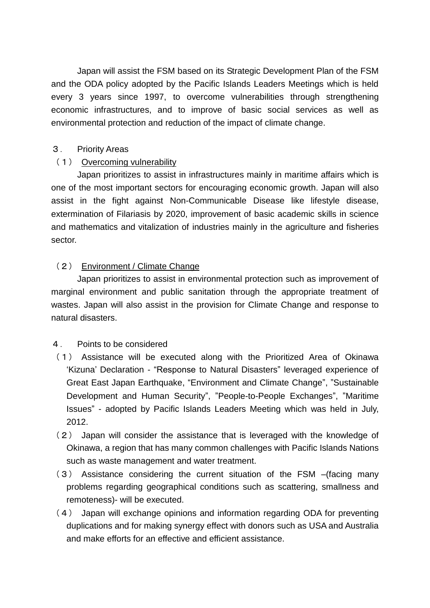Japan will assist the FSM based on its Strategic Development Plan of the FSM and the ODA policy adopted by the Pacific Islands Leaders Meetings which is held every 3 years since 1997, to overcome vulnerabilities through strengthening economic infrastructures, and to improve of basic social services as well as environmental protection and reduction of the impact of climate change.

#### 3. Priority Areas

## (1) Overcoming vulnerability

Japan prioritizes to assist in infrastructures mainly in maritime affairs which is one of the most important sectors for encouraging economic growth. Japan will also assist in the fight against Non-Communicable Disease like lifestyle disease, extermination of Filariasis by 2020, improvement of basic academic skills in science and mathematics and vitalization of industries mainly in the agriculture and fisheries sector.

# (2) Environment / Climate Change

Japan prioritizes to assist in environmental protection such as improvement of marginal environment and public sanitation through the appropriate treatment of wastes. Japan will also assist in the provision for Climate Change and response to natural disasters.

## 4. Points to be considered

- (1) Assistance will be executed along with the Prioritized Area of Okinawa 'Kizuna' Declaration - "Response to Natural Disasters" leveraged experience of Great East Japan Earthquake, "Environment and Climate Change", "Sustainable Development and Human Security", "People-to-People Exchanges", "Maritime Issues" - adopted by Pacific Islands Leaders Meeting which was held in July, 2012.
- (2) Japan will consider the assistance that is leveraged with the knowledge of Okinawa, a region that has many common challenges with Pacific Islands Nations such as waste management and water treatment.
- (3) Assistance considering the current situation of the FSM –(facing many problems regarding geographical conditions such as scattering, smallness and remoteness)- will be executed.
- (4) Japan will exchange opinions and information regarding ODA for preventing duplications and for making synergy effect with donors such as USA and Australia and make efforts for an effective and efficient assistance.